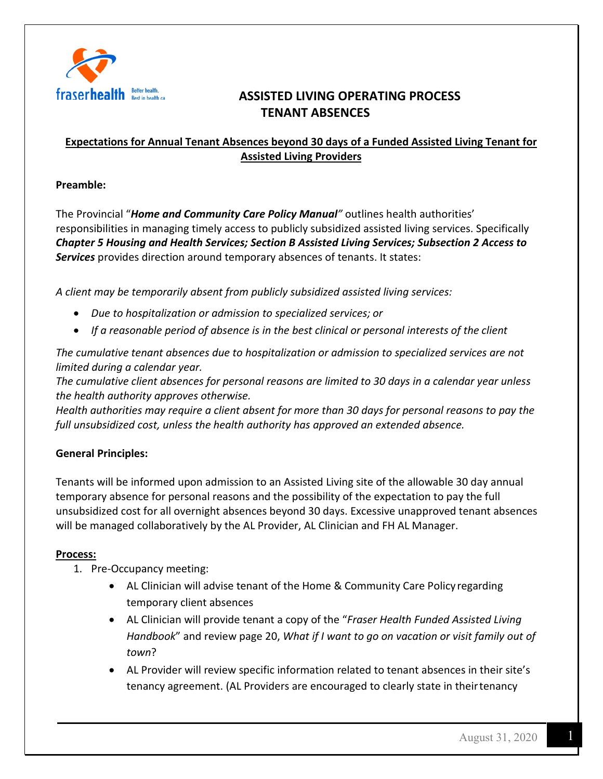

## **ASSISTED LIVING OPERATING PROCESS TENANT ABSENCES**

## **Expectations for Annual Tenant Absences beyond 30 days of a Funded Assisted Living Tenant for Assisted Living Providers**

### **Preamble:**

The Provincial "*Home and Community Care Policy Manual"* outlines health authorities' responsibilities in managing timely access to publicly subsidized assisted living services. Specifically *Chapter 5 Housing and Health Services; Section B Assisted Living Services; Subsection 2 Access to Services* provides direction around temporary absences of tenants. It states:

*A client may be temporarily absent from publicly subsidized assisted living services:*

- *Due to hospitalization or admission to specialized services; or*
- *If a reasonable period of absence is in the best clinical or personal interests of the client*

*The cumulative tenant absences due to hospitalization or admission to specialized services are not limited during a calendar year.*

*The cumulative client absences for personal reasons are limited to 30 days in a calendar year unless the health authority approves otherwise.*

*Health authorities may require a client absent for more than 30 days for personal reasons to pay the full unsubsidized cost, unless the health authority has approved an extended absence.*

## **General Principles:**

Tenants will be informed upon admission to an Assisted Living site of the allowable 30 day annual temporary absence for personal reasons and the possibility of the expectation to pay the full unsubsidized cost for all overnight absences beyond 30 days. Excessive unapproved tenant absences will be managed collaboratively by the AL Provider, AL Clinician and FH AL Manager.

### **Process:**

- 1. Pre-Occupancy meeting:
	- AL Clinician will advise tenant of the Home & Community Care Policy regarding temporary client absences
	- AL Clinician will provide tenant a copy of the "*Fraser Health Funded Assisted Living Handbook*" and review page 20, *What if I want to go on vacation or visit family out of town*?
	- AL Provider will review specific information related to tenant absences in their site's tenancy agreement. (AL Providers are encouraged to clearly state in theirtenancy